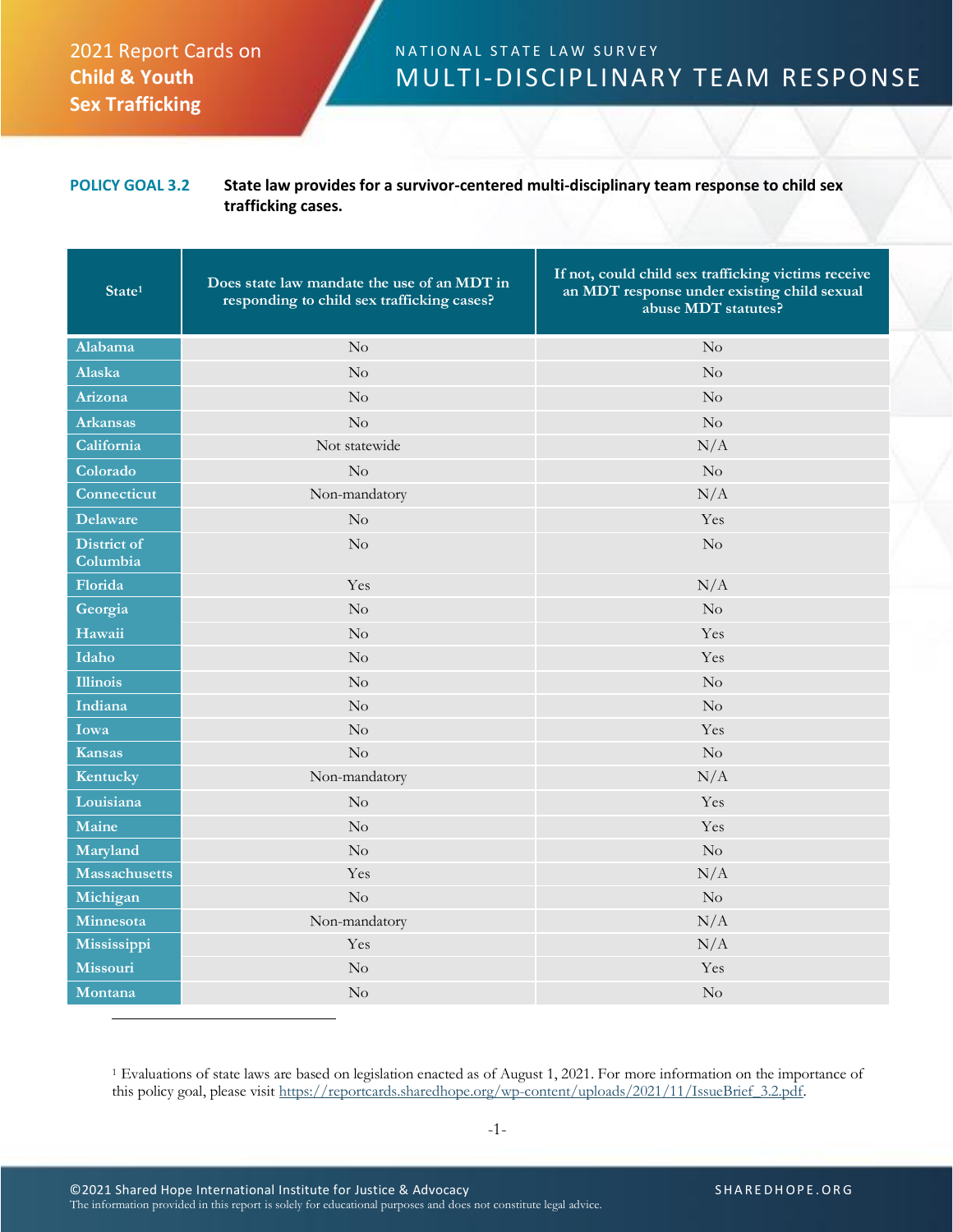## 2021 Report Cards on **Child & Youth Sex Trafficking**

## N A T I O N A L S T A T E L A W S U R V E Y MULTI-DISCIPLINARY TEAM RESPONSE

## **POLICY GOAL 3.2 State law provides for a survivor-centered multi-disciplinary team response to child sex trafficking cases.**

| State <sup>1</sup>      | Does state law mandate the use of an MDT in<br>responding to child sex trafficking cases? | If not, could child sex trafficking victims receive<br>an MDT response under existing child sexual<br>abuse MDT statutes? |
|-------------------------|-------------------------------------------------------------------------------------------|---------------------------------------------------------------------------------------------------------------------------|
| Alabama                 | $\rm No$                                                                                  | No                                                                                                                        |
| Alaska                  | $\rm No$                                                                                  | No                                                                                                                        |
| Arizona                 | $\rm No$                                                                                  | No                                                                                                                        |
| <b>Arkansas</b>         | $\rm No$                                                                                  | $\rm No$                                                                                                                  |
| California              | Not statewide                                                                             | N/A                                                                                                                       |
| Colorado                | $\rm No$                                                                                  | $\rm No$                                                                                                                  |
| Connecticut             | Non-mandatory                                                                             | N/A                                                                                                                       |
| <b>Delaware</b>         | No                                                                                        | Yes                                                                                                                       |
| District of<br>Columbia | No                                                                                        | No                                                                                                                        |
| Florida                 | Yes                                                                                       | N/A                                                                                                                       |
| Georgia                 | No                                                                                        | No                                                                                                                        |
| Hawaii                  | No                                                                                        | Yes                                                                                                                       |
| Idaho                   | $\rm No$                                                                                  | Yes                                                                                                                       |
| <b>Illinois</b>         | No                                                                                        | $\rm No$                                                                                                                  |
| Indiana                 | No                                                                                        | No                                                                                                                        |
| Iowa                    | No                                                                                        | Yes                                                                                                                       |
| <b>Kansas</b>           | $\rm No$                                                                                  | No                                                                                                                        |
| Kentucky                | Non-mandatory                                                                             | N/A                                                                                                                       |
| Louisiana               | No                                                                                        | Yes                                                                                                                       |
| Maine                   | No                                                                                        | Yes                                                                                                                       |
| Maryland                | $\rm No$                                                                                  | No                                                                                                                        |
| <b>Massachusetts</b>    | Yes                                                                                       | N/A                                                                                                                       |
| Michigan                | No                                                                                        | $\rm No$                                                                                                                  |
| Minnesota               | Non-mandatory                                                                             | N/A                                                                                                                       |
| Mississippi             | Yes                                                                                       | N/A                                                                                                                       |
| Missouri                | No                                                                                        | Yes                                                                                                                       |
| Montana                 | No                                                                                        | No                                                                                                                        |

<sup>1</sup> Evaluations of state laws are based on legislation enacted as of August 1, 2021. For more information on the importance of this policy goal, please visit [https://reportcards.sharedhope.org/wp-content/uploads/2021/11/IssueBrief\\_3.2.pdf.](https://reportcards.sharedhope.org/wp-content/uploads/2021/11/IssueBrief_3.2.pdf)